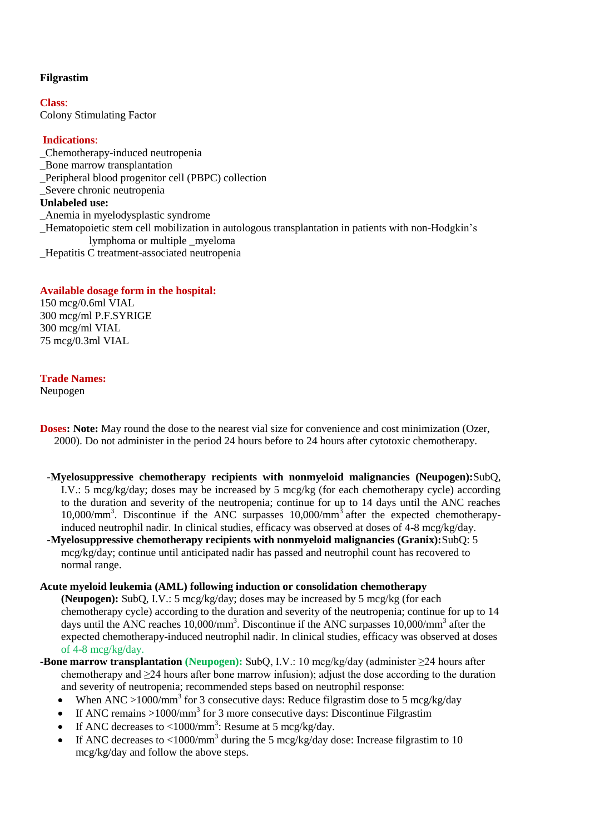# **Filgrastim**

**Class**: Colony Stimulating Factor

# **Indications**:

\_Chemotherapy-induced neutropenia \_Bone marrow transplantation \_Peripheral blood progenitor cell (PBPC) collection Severe chronic neutropenia **Unlabeled use:** \_Anemia in myelodysplastic syndrome \_Hematopoietic stem cell mobilization in autologous transplantation in patients with non-Hodgkin's lymphoma or multiple \_myeloma \_Hepatitis C treatment-associated neutropenia

# **Available dosage form in the hospital:**

150 mcg/0.6ml VIAL 300 mcg/ml P.F.SYRIGE 300 mcg/ml VIAL 75 mcg/0.3ml VIAL

## **Trade Names:**

Neupogen

- **Doses:** Note: May round the dose to the nearest vial size for convenience and cost minimization (Ozer, 2000). Do not administer in the period 24 hours before to 24 hours after cytotoxic chemotherapy.
	- **-Myelosuppressive chemotherapy recipients with nonmyeloid malignancies (Neupogen):**SubQ, I.V.: 5 mcg/kg/day; doses may be increased by 5 mcg/kg (for each chemotherapy cycle) according to the duration and severity of the neutropenia; continue for up to 14 days until the ANC reaches 10,000/mm<sup>3</sup>. Discontinue if the ANC surpasses 10,000/mm<sup>3</sup> after the expected chemotherapyinduced neutrophil nadir. In clinical studies, efficacy was observed at doses of 4-8 mcg/kg/day.
- **-Myelosuppressive chemotherapy recipients with nonmyeloid malignancies (Granix):**SubQ: 5 mcg/kg/day; continue until anticipated nadir has passed and neutrophil count has recovered to normal range.

## **Acute myeloid leukemia (AML) following induction or consolidation chemotherapy**

**(Neupogen):** SubQ, I.V.: 5 mcg/kg/day; doses may be increased by 5 mcg/kg (for each chemotherapy cycle) according to the duration and severity of the neutropenia; continue for up to 14 days until the ANC reaches  $10,000/\text{mm}^3$ . Discontinue if the ANC surpasses  $10,000/\text{mm}^3$  after the expected chemotherapy-induced neutrophil nadir. In clinical studies, efficacy was observed at doses of 4-8 mcg/kg/day.

- **-Bone marrow transplantation (Neupogen):** SubQ, I.V.: 10 mcg/kg/day (administer ≥24 hours after chemotherapy and  $\geq$ 24 hours after bone marrow infusion); adjust the dose according to the duration and severity of neutropenia; recommended steps based on neutrophil response:
	- When ANC >1000/mm<sup>3</sup> for 3 consecutive days: Reduce filgrastim dose to 5 mcg/kg/day
	- If ANC remains >1000/mm<sup>3</sup> for 3 more consecutive days: Discontinue Filgrastim
	- If ANC decreases to  $\langle 1000/\text{mm}^3$ : Resume at 5 mcg/kg/day.
	- If ANC decreases to  $\langle 1000 \rangle$ mm<sup>3</sup> during the 5 mcg/kg/day dose: Increase filgrastim to 10 mcg/kg/day and follow the above steps.